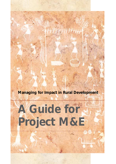**Managing for Impact in Rural Development**

# **A Guide for Project M&E**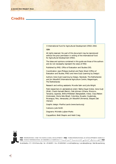### **Credits**

© International Fund for Agricultural Development (IFAD) 2002.

#### ISBN

All rights reserved. No part of this document may be reproduced without the prior permission in writing of the International Fund for Agricultural Development (IFAD).

The ideas and opinions contained in this guide are those of the authors and do not necessarily represent the views of IFAD.

Published by IFAD, Office of Evaluation and Studies (OE).

Coordination: Jean-Philippe Audinet and Paolo Silveri (Office of Evaluation and Studies, IFAD) and Irene Guijt (Learning by Design)

Authors: Irene Guijt (Learning by Design, Randwijk, The Netherlands) and Jim Woodhill (International Agriculture Centre, Wageningen, The Netherlands)

Research and writing assistants: Mundie Salm and Julia Wright

Field researchers (in alphabetical order): Rekha Dayal (India), Irene Guijt (Mali), Cheick Kamaté (Benin), Deb Johnson (Ghana, Morocco, Tanzania, Uganda), Britha Mikkelsen (Bangladesh, India), Claus Rebien (Indonesia), Gloria Vela (Brazil, Colombia, Ecuador, Guatemala, Nicaragua, Peru, Venezuela), Jim Woodhill (Armenia), Elsayed Zaki (Yemen)

Graphic design: Martha Lauría (www.lauria.org)

Cartoons: Julie Smith

Diagrams: Michelle Luijben-Marks

Copyeditors: Brett Shapiro and Heidi Craig



IFAD - INTERNATIONAL FUND FOR AGRICULTURAL DEVELOPMENT . FIDA - FONDS INTERNATIONAL DE DÉVELOPPEMENT AGRICOLE IFAD - الصنسندوق البدولبي للتسنمسيسة البزراعييسة • FIDA - FONDO INTERNACIONAL DE DESARROLLO AGRÍCOLA

Via del Serafico, 107 · 00142 Rome, Italy · Tel. +39-0654591 · Fax +39-065043463 · e-mail ifad@ifad.org · oemailbox@ifad.org · Web Site www.ifad.org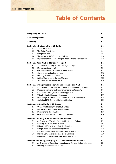# **Table of Contents**

|          | <b>Navigating the Guide</b>                                      | v        |
|----------|------------------------------------------------------------------|----------|
|          | Acknowledgements                                                 | vii      |
| Acronyms |                                                                  | iх       |
|          | Section 1. Introducing the M&E Guide                             | $1 - 1$  |
| 1.1      | About the Guide                                                  | $1 - 3$  |
| 1.2      | The Basis of the Guide                                           | $1 - 4$  |
| 1.3      | Using the Guide                                                  | $1 - 8$  |
| 1.4      | The Nature of IFAD-Supported Projects                            | $1 - 10$ |
| 1.5      | Implications for M&E of Changing Approaches to Development       | $1 - 15$ |
|          | Section 2. Using M&E to Manage for Impact                        | $2 - 1$  |
| 2.1      | An Overview of Using M&E to Manage for Impact                    | $2 - 3$  |
| 2.2      | Management and M&E                                               | $2 - 9$  |
| 2.3      | Guiding the Project Strategy for Poverty Impact                  | $2 - 13$ |
| 2.4      | Creating a Learning Environment                                  | $2 - 18$ |
| 2.5      | <b>Ensuring Effective Operations</b>                             | $2 - 20$ |
| 2.6      | Setting Up and Using the M&E System                              | $2 - 22$ |
| 2.7      | The Basics of Participatory M&E                                  | $2 - 26$ |
|          | Section 3. Linking Project Design, Annual Planning and M&E       | $3 - 1$  |
| 3.1      | An Overview of Linking Project Design, Annual Planning & M&E     | $3 - 3$  |
| 3.2      | Designing for Learning, Empowerment and Sustainability           | $3-6$    |
| 3.3      | Introducing the Logical Framework Approach                       | $3 - 12$ |
| 3.4      | Using the Logical Framework Approach                             | $3 - 17$ |
| 3.5      | From a Logframe Matrix to an Annual Work Plan and Budget         | $3 - 25$ |
| 3.6      | Outlining M&E During Initial Project Design                      | $3-29$   |
|          | Section 4. Setting Up the M&E System                             | $4 - 1$  |
| 4.1      | Overview of Setting Up the M&E System                            | $4 - 3$  |
| 4.2      | Key Steps in Setting Up the M&E System                           | $4 - 8$  |
| 4.3      | Documenting the M&E Plan                                         | $4 - 16$ |
| 4.4      | Quality of Your M&E and Keeping it Updated                       | $4 - 20$ |
|          | Section 5. Deciding What to Monitor and Evaluate                 | $5-1$    |
| 5.1      | An Overview of Deciding What to Monitor and Evaluate             | $5 - 3$  |
| 5.2      | Knowing What You Need to Know                                    | $5-6$    |
| 5.3      | Using the M&E Matrix for Detailed Planning                       | $5 - 13$ |
| 5.4      | Being Guided by Performance Questions                            | $5 - 15$ |
| 5.5      | Focusing on Key Information and Optimal Indicators               | $5 - 18$ |
| 5.6      | Making Comparisons and the Role of Baselines                     | $5 - 30$ |
| 5.7      | Updating Your Information Needs and Indicators                   | $5 - 35$ |
|          | Section 6. Gathering, Managing and Communicating Information     | 6-1      |
| 6.1      | An Overview of Gathering, Managing and Communicating Information | $6 - 3$  |
| 6.2      | Deciding Which Methods to Use                                    | $6 - 7$  |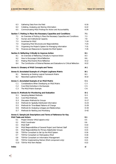×

| 6.3   | Gathering Data From the Field                                               | $6 - 16$ |
|-------|-----------------------------------------------------------------------------|----------|
| 6.4   | Collating, Analysing and Storing Information                                | $6 - 22$ |
| 6.5   | Communicating M&E Findings for Action and Accountability                    | $6 - 26$ |
|       | Section 7. Putting in Place the Necessary Capacities and Conditions         | $7-1$    |
| 7.1   | An Overview of Putting in Place the Necessary Capacities and Conditions     | $7-3$    |
| 7.2   | Human and Institutional Capacity                                            | $7-8$    |
| 7.3   | Incentives for M&E                                                          | $7-19$   |
| 7.4   | Organising M&E Structures and Responsibilities                              | $7 - 24$ |
| 7.5   | Organising the Project's System for Managing Information                    | $7 - 31$ |
| 7.6   | Finances and Resources to Operate the M&E System                            | $7 - 35$ |
|       | Section 8. Reflecting Critically to Improve Action                          | $8 - 1$  |
| 8.1   | An Overview of Reflecting Critically to Improve Action                      | $8 - 3$  |
| 8.2   | How to Encourage Critical Reflection                                        | $8-6$    |
| 8.3   | Making M&E Events More Reflective                                           | $8 - 12$ |
| 8.4   | The Contribution of External Reviews and Evaluations to Critical Reflection | $8-22$   |
|       | Annex A. Glossary of M&E Concepts and Terms                                 | $A-1$    |
|       | Annex B. Annotated Example of a Project Logframe Matrix                     | $B-1$    |
| B.1   | Reviewing an Existing Logical Framework Matrix                              | $B-3$    |
| B.2   | Reworked Logframe Matrix                                                    | $B-10$   |
|       | Annex C. Annotated Example of an M&E Matrix                                 | $C-1$    |
| C.1   | Considerations When Developing an M&E Matrix                                | $C-3$    |
| C.2   | Core M&E Activities in the Example                                          | $C-5$    |
| C.3   | The M&E Matrix Example                                                      | $C-6$    |
|       | Annex D. Methods for Monitoring and Evaluation                              | D-1      |
| D.1   | Sampling-Related Methods                                                    | $D-3$    |
| D.2   | Core M&E Methods                                                            | D-6      |
| D.3   | Discussion Methods for Groups                                               | $D-17$   |
| D.4   | Methods for Spatially-Distributed Information                               | $D-23$   |
| D.5   | Methods for Time-Based Patterns of Change                                   | $D-29$   |
| D.6   | Methods for Analysing Linkages and Relationships                            | $D-34$   |
| D.7   | Methods for Ranking and Prioritising                                        | $D-42$   |
|       | Annex E. Sample Job Descriptions and Terms of Reference for Key             |          |
|       | <b>M&amp;E Tasks and Actors</b>                                             | $E-1$    |
| E.1   | Project Director (M&E aspects only)                                         | $E-5$    |
| E.2   | M&E Coordinator                                                             | E-6      |
| E.3   | M&E Staff                                                                   | $E-10$   |
| E.4   | M&E Responsibilities of General Project (and Partner) Staff                 | $E-12$   |
| E.5   | M&E Responsibilities for Primary Stakeholder Groups                         | $E-15$   |
| E.6   | TOR for Consultant to Set Up the M&E System                                 | $E-16$   |
| E.7   | TOR for Consultant on Participatory M&E                                     | E-18     |
| E.8   | TOR for Consultant on Information Management                                | $E-20$   |
| E.9   | TOR for Implementing Partner (M&E component only)                           | $E-21$   |
| E.10  | <b>TOR for Mid-Term Review</b>                                              | $E-22$   |
| Index |                                                                             | хi       |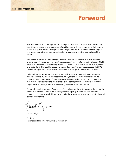## **Foreword**

The International Fund for Agricultural Development (IFAD) and its partners in developing countries share the challenging mission of enabling the rural poor to overcome their poverty. A partnership which takes shape primarily through hundreds of rural development projects and programmes at grass-roots level, often in the poorest and most remote regions of the world.

Although the performance of these projects has improved in many aspects over the years, external evaluations continue to report weaknesses in their monitoring and evaluation (M&E) systems, in particular in the way impact M&E is carried out and used at project management and policy level. The need for support is also evident from the numerous requests that IFAD receives each year from its partners for assistance in M&E system design and operation.

In line with the IFAD Action Plan 2000-2002, which seeks to "improve impact assessment", this new practical guide was developed through a yearlong consultative process with its potential users: project M&E officers, managers, designers and supervisors. Its purpose is to facilitate the development and use of effective and participatory M&E systems as tools for impact-oriented management, shared learning processes and accountability.

As such, it is an integral part of our global effort to improve the performance and monitor the results of our common initiatives to strengthen the capacity of the rural poor and their organisations, improve equitable access to productive resources and increase access to financial services and markets.

 $\mathbb{Z}_{\ell}$ Lerney

Lennart Båge

President International Fund for Agricultural Development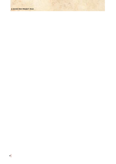$\infty$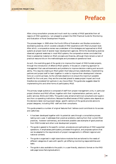### **Preface**

After a long consultation process and much work by a variety of M&E specialists from all regions of IFAD operations, I am pleased to present the IFAD Practical Guide for Monitoring and Evaluation of Rural Development Projects.

The process began in 2000 when the Fund's Office of Evaluation and Studies conducted a stocktaking exercise, which covered a decade of IFAD experience with M&E at project level. After which, a comparative review was undertaken of the strategies and approaches to M&E systems at project level of several major development agencies. While the stocktaking exercise observed a general weakness in most M&E systems, the comparative review concluded that there is substantial material on M&E concepts and theories, although there remains a lack of practical resource kits on the methodologies and processes at operational level.

As such, the overriding goal of the guide is to improve the impact of IFAD-funded projects, through the introduction of effective M&E systems. It focuses on a learning approach to management that uses achievements and problems to improve decision-making and accountability. This requires creating an M&E system that helps primary stakeholders, implementing partners and project staff to learn together in order to improve their development interventions on a continual basis. As the ultimate objective is to ensure the maximum possible benefit for the rural poor, they are the ones best placed to assess project impact and must therefore be considered full partners in any future M&E. The guide also suggests ideas for implementing this and other forms of participatory M&E.

The primary target audience is composed of staff from project management units, in particular project directors and M&E officers, together with their implementation partners, such as, public services, NGOs and CBOs. The guide is also aimed at technical consultants and supervisors from co-operating institutions. Because the effectiveness of M&E systems also depends on the decisions taken during project design, specific sections of the guide provide advice to project designers, including IFAD staff and their consultants.

This guide presents a number of original features that I believe could contribute to its success and usefulness:

- It has been developed together with its potential users through a consultative process lasting over a year. It addresses their practical problems, starting from their current M&E practices, however rudimentary, and whenever possible uses examples of good practices from IFAD-funded and other rural development projects.
- The guide is geared to the specific context, procedures and partnerships of IFAD supported operations. It emphasises participatory processes throughout, and proposes options that can be adapted to the requirements of project managements in different regional and national contexts.
- The guide is organised in eight stand-alone modules that are tailored to the needs of different categories of users with specific yet differing monitoring responsibilities and tasks.
- The guide is also available to the public in a user-friendly, electronic format on the IFAD web page (www.ifad.org/evaluation).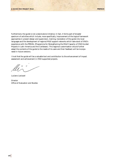Furthermore, the guide is not a stand-alone initiative. In fact, it forms part of broader spectrum of activities which include, more specifically, improvement of the logical framework approaches in project design and supervision, training, translation of the guide into local languages and the development of regional M&E support networks which take stock of IFAD's experience with the PREVAL (Programme for Strengthening the M&E Capacity of IFAD-funded Projects in Latin America and the Caribbean). This regional customisation should further adapt the contents of the guide to the needs of its users and their feedback will be incorporated in future versions.

I trust that the guide will be a valuable tool and contribution to the enhancement of impact assessment and achievement in IFAD-supported projects.

 $\epsilon$ 

Luciano Lavizzari

Director Office of Evaluation and Studies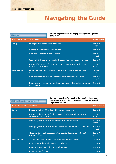M&E staff (project or partners)

Manager

# **Navigating the Guide**

#### *Are you responsible for managing the project or a project component?*

| <b>Phase in Project Cycle</b> | <b>Tasks You Face</b>                                                                                              | <b>Section Number</b>        |
|-------------------------------|--------------------------------------------------------------------------------------------------------------------|------------------------------|
| Start-up                      | Revising the project design (logical framework)                                                                    | Section 3,<br>Annex B        |
|                               | Obtaining an overview of M&E responsibilities                                                                      | Section 2                    |
|                               | Supervising development of the M&E system                                                                          | Section 5,<br>Annex C        |
|                               | Using the logical framework as a basis for developing the annual work plan and budget                              | Section 3                    |
|                               | Ensuring M&E staff have sufficient resources, capacities and structures to develop and<br>implement the M&E system | Section 7,<br><b>Annex E</b> |
| Implementation                | Requesting and using M&E information to quide project implementation and make<br>decisions                         | Sections 2<br>and 8          |
|                               | Supervising the contributions and performance of staff, partners and consultants                                   | Section 4,<br><b>Annex E</b> |
|                               | Engaging team members, primary stakeholders and partners in joint analysis, learning and<br>decision making        | Section 8                    |

### *Are you responsible for ensuring that M&E in the project as a whole or in a project component is being set up and*

|                        | <i>implemented well?</i>                                                                                                 |                              |
|------------------------|--------------------------------------------------------------------------------------------------------------------------|------------------------------|
| Phase in Project Cycle | <b>Tasks You Face</b>                                                                                                    | <b>Section Number</b>        |
| Start-up               | Developing clarity about the role of M&E in project management                                                           | Section 2                    |
|                        | Ensuring that during revision of project design, the M&E system and procedures are<br>detailed enough for implementation | Sections 3<br>and 4          |
|                        | Guiding project implementers in agreeing what to monitor and evaluate                                                    | Section 5,<br>Annex C        |
|                        | Guiding project implementers in deciding how to collect and communicate information                                      | Section 6,<br>Annex D        |
|                        | Checking that proposed resources, capacities, support and structures are sufficient for<br>M&E to be effective           | Section 7,<br><b>Annex E</b> |
| Implementation         | Supporting partners and consultants in fulfilling their M&E responsibilities                                             | Section 4                    |
|                        | Encouraging reflective use of information by implementers                                                                | Section 8                    |
|                        | Engaging key stakeholders in joint analysis of information                                                               | Section 8                    |
|                        | Reporting findings from M&E                                                                                              | Section 6                    |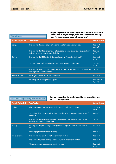|  | <b>Consultants</b> |  |  |  |
|--|--------------------|--|--|--|
|  |                    |  |  |  |

*Are you responsible for providing external technical assistance in the areas of project design, M&E and information management for the project or a project component?* 

| <b>Phase in Project Cycle</b> | <b>Tasks You Face</b>                                                                                                                 | <b>Section Number</b>       |
|-------------------------------|---------------------------------------------------------------------------------------------------------------------------------------|-----------------------------|
| Design                        | Ensuring that the proposed project design is based on good design practice                                                            | Section 3,<br>Annex B       |
|                               | Ensuring that the M&E component has been designed comprehensively enough and with<br>sufficient resources, capacities and flexibility | Sections 4<br>and 7         |
| Start-up                      | Ensuring that the M&E system is designed to support "managing for impact"                                                             | Sections 2<br>and 4         |
|                               | Supporting M&E staff in developing appropriate monitoring mechanisms                                                                  | Sections 5<br>and 6         |
|                               | Ensuring that enough and appropriate resources, capacities and support structures exist for<br>carrying out M&E responsibilities      | Section 7                   |
| Implementation                | Building critical reflection into M&E processes                                                                                       | Section 8                   |
|                               | Reviewing and updating the M&E system                                                                                                 | Sections 4, 5,<br>6.7 and 8 |

| IFAD and Cooperating Institution staf<br>support to the project? |                                                                                                                                |                              |  |  |
|------------------------------------------------------------------|--------------------------------------------------------------------------------------------------------------------------------|------------------------------|--|--|
| Phase in Project Cycle                                           | <b>Tasks You Face</b>                                                                                                          | <b>Section Number</b>        |  |  |
| Design                                                           | Checking that the proposed project design meets "good practice" standards                                                      | Section 3,<br><b>Annex B</b> |  |  |
|                                                                  | Stipulating relevant elements of learning-oriented M&E in job descriptions and terms of<br>reference                           | <b>Annex E</b>               |  |  |
|                                                                  | Ensuring that the proposed project design includes sufficient resources, capacities and<br>enabling support structures for M&E | Section 7                    |  |  |
| Start-up                                                         | Ensuring that the project design is being revised appropriately with sufficient detail to<br>M&E                               | Section 3                    |  |  |
|                                                                  | Encouraging impact-focused monitoring                                                                                          | Section 5                    |  |  |
| Implementation                                                   | Ensuring that key aspects of the M&E system are in place                                                                       | Section 4                    |  |  |
|                                                                  | Recognising if a project is taking a learning approach in its implementation                                                   | Section 8                    |  |  |
|                                                                  | Checking reports and suggesting reporting formats                                                                              | Sections 3<br>and 6          |  |  |

### *Are you responsible for providing guidance, supervision and*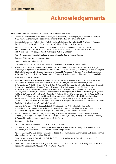### **Acknowledgements**

#### *Project-related staff and stakeholders who shared their experiences with M&E*

- *Armenia.* G. Matevossian, E. Kojoyan, V. Kanayan, V. Sapharyin, S. Ghazaryan, H. Minasyan, S. Gischyan, R. Culver, A. Kalantaryan, H. Naschkaryan, senior staff of ANEV (implementing NGO)
- *Bangladesh.* R. Ahmed, M.D.H. Islam, M.D.E. Moslem, S. K. Islam, Dr. N. Sarder, M. Mortuza, M.A. Awal, K.A. Quadir, T. Shapla, A.K.M. Delwar Hossein, A.S. Khan, K. Akbar, A. Armstrong
- *Benin*. B. Sourokou, T.S. Ségou Sounon, N. Moussa, D. Challa, K. Bagoudou, O. Opian Gabriel, Mrs. Dieudonné, B. Gassi, Q. Bonaventure, F. Chabi Biaou, A. Djossouvi, R. Yorouba, M.S. Inoussa, A.M. Marcelline, T. Amidou, A. Benoît, A. François, A. Boris, T. Medar
- *Brazil.* C. Jurema, A. Medrado Brasileiro, D. Andrade dos Santos, C. Ribeiro Cardoso
- *Colombia*. M.O. Lizarazo, L. Isaacs, A. Rojas
- *Ecuador.* J. Orbe, D. Quilumbaqui
- *El Salvador.* M. Ponce, J.A. Torres, M. Quesada, E. Ancheta, G. Colunga, J. Santos Castillo
- *Ghana.* A.A. Adjekum, A. Ayeebo, A.R.Z. Salifu, S.M. Abd-Allah, A. Dannson, S.N.E. Asante, B. Abanga, E. Andanye, E. Agumah, E. Adauwieba, F. Dery, F. Seidu, I. Dauda, J.S.Odoi, J. Amiyuure, K.B. Owusu-Sekyere, K.E. Baah, K.K. Appiah, K. Glseddy, K. Anene, L. Abusat, M. Amaboda, P. Siameh, P. Ayoreko, R. Atengdem, R. Ayarega, S.A. Benlu, S. Danso, Sanabisi women's group, S. Abdulrahmouni, Saka water users' association
- *Guatemala.* C. Mas, M. Mérida
- *India.* V.K. Agarwal, K.N. Banerjee, V. Subramanyan, P. Lakshmi Narayana, V. Reddy, Mr. Gaud, Mr. Naidu, Dr. Krishna, Mr. Rameshankar, Mr. Ramesh, Mr. Naidu, N. Raju, M. Rao, Mr. Mehaboob, P. Rao, U. Ramakrishna, P. Reddy, S. Rao, S. Priya, S. Rao, K. Rao, self-help group Gandhiji, Sardamme and Bhedradri cluster-level associations, J. Kumar, S. Jones, E. Gravgaard, M. Balasubramaniam, Mr. Ramadoss, S. Ramakrishnan, R. Mangalam, S. Lakshmi, R. Gomathi, Q. Gandhi, A.K. Rajeevan, Dr. K. Shankar, X.C. Nayakam, G. Kanna, G. Kalidas, S. Ramachndran, K. Marugesan, M. Nawab, S. Pandurahajn, A. Joshep, M. Moni, D. Varadhan, G. Mathew, G. Kalaiselu, P. Padmanabhan, S.Rajgopalakshmi, Sr. S. Daisy, Sr. Micky, S. Willam, P. Keshavan, A. Dhanraj, M. Xavier, S. Chinnappan, A.M. Tiwari, Dr. Z. Meenai, Dr. S. Rao, Ms. Sathyavati, Dr. V. Hebbare, M. Raghu, D.K. Naik, R. Krishnamurthy, E.S. Patole, B.R. Shirsat, Dr. R.N. Kulkarni, S.R. Dere, A.V. Shimpi, G.V. Purohit, M.R. Gulgule, S.S. Parulekar, G.K. Salvekar, C.R. More, P.D. Kale, R.G. Chaudhari, S.M. Dalvi, S. Agarwal
- *Indonesia.* D.Purnomo, T.E.H. Basuki, S. Latief, W. Adisaputro, A. Wahyudin, S. Budisetyanto, H. Moedrdiyono, K. Osman, F. Lamerkabel, N. Jauanedi, C. Lubis, Mr. Widihatmoko, Mr. Sukandi, D. Makka, N.L. Tobing, Mr. Ery, Mr. Agus, Ms. Widayati, K. Zulkarnain, J.W. Molyneaux, R. Astika
- *Mali.* C. Kamaté, Y. Diarra, Mr.Sako, M. Coulibaly, A. Karam, Mr. Sakaponé, M. Baba Diatiké, A. Traoré, A. Kene, S. Fatoumata, F. Kamara, A. Traoré, B. Thiero, O. Traoré, F. Diara, N. Keita, B. Doumbia, H. Diallo, B. Togola, M. Nadio, M. Moutairou, E. Boka, I. Dabo Ndiaye
- *Nicaragua.* J.L. Sandino
- *Peru.* C. Sotomayor, J. Solórzano, E. Mar, I. Loaiza, T. Samagoa
- *Tanzania.* E.A. Anyosisye, L.A.G. Gallet, C.M. Kiberange, H.B. Lungogelo, M. Mboya, S.S. Mkude, E. Mushi, N.K. Rajabu, L.K. Rweyemamu, T.D.R.Waida, Kibaale village leaders
- *Uganda.* E.B. Aru, J.W. Byakagaba, M. Kajubi, F. Ndozereho, J. Tumushabe, J. Zirabwende, D. Kisauza, community development officer of Hoima District
- *Venezuela.* O. Lozano, R. González, W. Toledo, C. Sánchez, A. Valbuena, A. González, L. Velásquez, C. Sánchez, E. Manzanella
- *Yemen.* E.A. Al Mutawakil, M.A. Al Haj, A.S. AL Yosfi, A.G. Turkawi, I. Al Doma, Z.M. Heig, M.A. Fitini, B.A. Hassan, Mr. Sulieman, M. Al Awaji, M.H. Al Wazan, M.O. Ali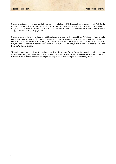*Comments and contributions were gratefully received from the following IFAD-Rome staff members:* A.Abdouli, W. Bettink, N. Brett, F. David e Silva, H. Dommel, K. Elharizi, A. Gerrits, P. Glikman, S. Kennedy, S. Khadka, M. Kherallah, D. Kingsbury, L. Lavizzari, M. Madsen, M. Manssouri, E. Mertens, A. Muthoo, S. Mwanundu, P. Roy, T. Rice, P. Saint-Ange, K. van de Sand, G. Thapa, P. Turilli

*Comments on early drafts of the Guide and additional material were gratefully received from*: A. Adjekum, M. Allaoui, E. Barrientos, I. Barro, J. Berdegué, J. Bos, L. Caviezel, R. China, I. Christensen, R. Cleveringa, K. Gill, B. Girardin, M. Ben Hafoune, D. Hedayetul Islam, E. Krogh, R. Lauritto, A. Marini, A. Ocampo, J.S. Odoi, R. Pantanali, J. Piña, R. Roy, M. Read, F. Sarassoro, A. Sattar Khan, J. Sermeño, D. Tymo, G. van Vliet, R.T.D. Waida, P. Wignaraja, I. van der Does de Willebois, O. Zafar

This guide has drawn partly on the authors' experience in working for the World Conservation Union's (IUCN) Global Monitoring and Evaluation Initiative, with particular thanks to Nancy McPherson, Alejandro Imbach, Veronica Muthui and Mine Pabari for ongoing dialogue about how to improve participatory M&E..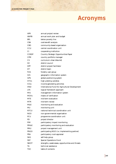# **Acronyms**

| APR          | annual project review                                  |
|--------------|--------------------------------------------------------|
| <b>AWPB</b>  | annual work plan and budget                            |
| BPL.         | below poverty line                                     |
| <b>CBA</b>   | cost-benefit analysis                                  |
| <b>CBO</b>   | community-based organisation                           |
| CCU          | central coordination unit                              |
| <b>CI</b>    | cooperating institution                                |
| <b>COSOP</b> | <b>Country Strategic Opportunities Paper</b>           |
| <b>CPM</b>   | country portfolio manager                              |
| CV.          | curriculum vitae (résumé)                              |
| DC           | district council                                       |
| DPF          | district project facilitator                           |
| DT           | district team                                          |
| <b>FUG</b>   | forestry user group                                    |
| <b>GIS</b>   | geographic information system                          |
| <b>GPS</b>   | global positioning system                              |
| <b>HYVs</b>  | high-yielding varieties                                |
| <b>ICGs</b>  | income-generating activities                           |
| <b>IFAD</b>  | <b>International Fund for Agricultural Development</b> |
| LFA          | logical framework approach                             |
| <b>MIS</b>   | management information system                          |
| <b>MOVs</b>  | means of verification                                  |
| <b>MTE</b>   | mid-term evaluation                                    |
| <b>MTR</b>   | mid-term review                                        |
| M&E          | monitoring and evaluation                              |
| MU           | monitoring unit                                        |
| <b>NTCU</b>  | national technical coordination unit                   |
| NGO          | non-governmental organisation                          |
| <b>PCU</b>   | programme coordination unit                            |
| PD           | project director                                       |
| PIM          | participatory impact monitoring                        |
| PM&E         | participatory monitoring and evaluation                |
| <b>PMU</b>   | project management unit                                |
| PNGO         | participating NGO (i.e. implementing partner)          |
| <b>PRA</b>   | participatory rural appraisal                          |
| SHG          | self-help group                                        |
| SOF          | <b>Special Operations Fund</b>                         |
| SWOT         | strengths, weaknesses, opportunities and threats       |
| TA           | technical assistance                                   |
| <b>TOC</b>   | table of contents                                      |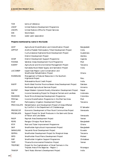| <b>TOR</b>   | terms of reference                         |
|--------------|--------------------------------------------|
| <b>UNDP</b>  | United Nations Development Programme       |
| <b>UNOPS</b> | United Nations Office for Project Services |
| <b>WB</b>    | World Bank                                 |
| <b>WUA</b>   | water users' association                   |

### **Projects mentioned by name in the Guide**

| Agricultural Diversification and Intensification Project                                                  | <b>Bangladesh</b>                                                                                         |
|-----------------------------------------------------------------------------------------------------------|-----------------------------------------------------------------------------------------------------------|
| Andhra Pradesh Participatory Tribal Development Project                                                   | India                                                                                                     |
| Cuchumatanes Highlands Rural Development Project                                                          | Guatemala                                                                                                 |
| <b>District Development Project</b>                                                                       | Zambia                                                                                                    |
| <b>District Development Support Programme</b>                                                             | Uganda                                                                                                    |
| Sahelian Areas Development Fund Programme                                                                 | Mali                                                                                                      |
| Agricultural and Environmental Management Project                                                         | Tanzania                                                                                                  |
| Karnataka Rural Water Supply and Sanitation Project                                                       | India                                                                                                     |
| Upper East Region Land Conservation and<br>Smallholder Rehabilitation Project                             | Ghana                                                                                                     |
| Management of Natural Resources in the Southern<br><b>Highlands Project</b>                               | Peru                                                                                                      |
| Maharashtra Rural Credit Project                                                                          | India                                                                                                     |
| North-West Frontier Province Barani Area Development Project                                              | Pakistan                                                                                                  |
| Northwest Agricultural Services Project                                                                   | Armenia                                                                                                   |
| Nepal Western Uplands Poverty Alleviation Development Project                                             | Nepal                                                                                                     |
| Income Generating Project for Marginal Farmers and Landless                                               | Indonesia                                                                                                 |
| Rural Micro-Enterprises Development Programme                                                             | Colombia                                                                                                  |
| Income Diversification Programme in the Mali Sud Area                                                     | Mali                                                                                                      |
| Participatory Irrigation Development Project                                                              | Tanzania                                                                                                  |
| Rehabilitation and Development Project of Areas Affected<br>by Conflict in the Department of Chalatenango | El Salvador                                                                                               |
| Economic Development of Poor Rural Communities Project                                                    | Venezuela                                                                                                 |
| Support Project for Small Producers in the Semi-arid Zones<br>of Falcon and Lara States                   | Venezuela                                                                                                 |
|                                                                                                           | Yemen                                                                                                     |
|                                                                                                           | Bangladesh                                                                                                |
|                                                                                                           | Ghana                                                                                                     |
| Smallholder Agricultural Improvement Project                                                              | Bangladesh                                                                                                |
| Yacuambi Rural Development Project                                                                        | Ecuador                                                                                                   |
| Smallholder Development Project for Marginal Areas                                                        | Tanzania                                                                                                  |
| Smallholder Flood Plains Development Project                                                              | Malawi                                                                                                    |
| Smallholder Irrigation Support Programme                                                                  | Zimbabwe                                                                                                  |
| Tihama Environmental Protection Project                                                                   | Yemen                                                                                                     |
| Project for the Capitalization of Small Farmers in the<br>Tropisec Area of the Segovias - Region 1        | Nicaragua                                                                                                 |
| Tamil Nadu Women's Development Project                                                                    | India                                                                                                     |
|                                                                                                           | Raymah Area Development Project<br>Rangpur Dinajpur Rural Service<br>Root and Tuber Improvement Programme |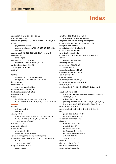### **Index**

accountability, **2**-15 to 16, **2**-25, **6-**26, **A-**3 actors, *see* stakeholders adaptive management, **2**-15, **3-**3 to 4, **3-**11 to 12, **4-**7 to 8, **A-**3 annual project review, *see* review work plan and budget (AWPB), **2**-8, **2**-20, **3-**5, **3-**25 to 28, **5-**10, **A-**3, **A-**4 appraisal report, **3-**3, **3-**26, **3-**30 to 31, **4-**5, **4-**8 to 10, **A-**3 assessment, **A-**4 *also see* impact assumption, **2**-13 to 15, **3-**14, **A-**3 example of, **3-**23 to 24, **B-**5 to 7, **B-**13 to 19 role in project design, **3-**22 to 25, assessing quality of, **B-**8, **B-**11 audit, **A-**4

#### baseline

information, **5-**30 to 34, **A-**4, **C-**7 to 11 survey/study, **3-**19, **5-**30 to 34, **7-**38, **A-**4, **B-**5 benchmark, **A-**4 beneficiaries, **A-**4 *also see* primary stakeholders beneficiary contact monitoring, **2**-22 biophysical measurement, **D-**8 to 9 brainstorming, **D-**17 to 18 budget for M&E in appraisal report, **3-**12, **3-**28, **3-**30 for M&E in plan, **2**-25, **4-**7, **4-**16, **5-**26, **7-**6 to 7, **7-**35 to 39

#### calendars

daily routines, **D-**32 seasonal, **D-**31 to 32 capacity, **7-**4, **A-**4 building, **2**-27, **3-**9 to 11, **6-**27, **7-**3 to 4, **7-**9 to 18, **A-**4 for M&E, **4-**14 to 15, **7-**3 to 4, **6-**17, **7-**8 to 18 *also see* conditions for M&E case study, **D-**15 to 17 causal relationship, **A-**4 change, **5-**6, **5-**18 organisational, **5-**24 *also see* adaptive management co-implementing partner, *see* implementing partner communicating M&E, **4-**14, **6-**6 to 7, **6-**26 to 31, **E-**6, **E-**8 to 9, **E-**14 to 15 *also see* reporting M&E comparative analysis, **5-**30 to 31 *also see* baseline

completion, **1-**11, **4-**6, **8-**25 to 27, **A-**4 evaluation/report, **8-**27, **A-**4, **A-**5, **A-**9 component management, *see* project management computerisation, **6-**22, **6-**25 to 26, **7-**6, **7-**31 to 35 concepts of M&E, **Annex A** conceptual model of M&E, **Section 4** conditions for M&E, **Section 7** constraints (operating), **2**-11 consultants, **1-**13, **3-**11, **7-**9, **7-**15, **7-**28 to 30, **E-**16 to 20 context monitoring of, **5-**10 to 11 contracting, *see* hiring control group, **5-**30 to 31, **A-**5 *also see* baseline cooperating institution, **1-**13, **A-**5 cost-benefit analysis, **A-**5, **D-**10 to 12 cost effectiveness, **A-**5 costs, *see* finances country programme evaluation, **A-**5 country/COSOP strategy, **1-**11, **3-**17, **A-**5 credit, **5-**16, **5-**25 critical reflection, **2**-7, **2**-18, **4-**4, **4-**13 to 14, **Section 8**, **A-**5 data, **2**-24, **6-**3 to 5, **E-**12 analysis, **5-**28, **6-**4, **6-**6, **6-**18 to 19, **6-**22 to 25, **7-**31 to 32 database, **6-**4, **7-**31 collation, **6-**4 to 5, **6-**21 to 22 gathering/collection, **4-**5, **4-**12 to 13, **5-**9, **5-**12, **5-**16, **5-**28, **5-**32 to 35, **6-**3 to 5, **6-**12, **6-**14 to 20,**C-**3 to 4, **C-**7 to 11 decentralisation, **1-**15, **6-**25 decision-making, **1-**15, **2**-17, **2**-24, **2**-26, **2**-27, **2**-28, **6-**25 design project, **1-**11, **Section 3**, **7-**27 of the M&E system, **2**-12 to 13, development intervention, **1-**15 diagrams cause-effect, **D-**34 to 35 chapati, **D-**36 to 37 impact flow, **D-**34 to 35 inputs-outputs, **D-**41 to 42 institutional linkage, **D-**36 to 37 systems, **D-**41 to 42 Venn, **D-**36 to 37 diaries, **D-**29 direct observation, **D-**9 to 10 documentation review, **D-**8 donors, *see* funding agencies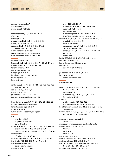downward accountability, **A-**5 drama, **D-**22 to 23 dreams realised, **D-**21 to 22

effective operations, **2**-8, **2**-20 to 22, **4-**4, **A-**5 efficacy, **A-**5 efficiency, **5-**8, **A-**5 empowerment, **1-**5, **1-**15, **3-**6, **4-**15, **5-**20, **5-**28 enabling factors, *see* conditions evaluation, **2**-3, **5-**8, **7-**22, **8-**21, **8-**22 to 27, **A-**5 *also see* M&E, participatory M&E ex-ante evaluation, *see* appraisal ex-post evaluation, *see* completion evaluation external evaluation/review, **8-**22 to 27, **A-**5

facilitation of M&E, **7-**13 feedback, **2**-18, **2**-19, **6-**7, **6-**27 to 29, **8-**7, **8-**14, **A-**6, **C-**7 to 11 finances, **7-**6 to 7, **7-**35 to 39, **B-**7, **B-**12, **E-**14 flexibility (of design), **3-**11 food security, *see* livelihoods focus groups, **D-**18 to 19 formulation report, *see* appraisal report funding agencies, **5-**7 funds, *see* finances

gender issues, **3-**8 to 9, **3-**15, **5-**9, **5-**14, **5-**20, **5-**22, **5-**28, **5-**33, **8-**26, **B-**11, **E-**13 to 14 goal, **3-**14 to 15, **3-**20 to 21, **A-**6 project, **2**-14, **B-**5, **B-**8 government, **1-**13 to 14, **3-**11, **7-**24 Grassroots Development Framework, **5-**19

hiring staff and consultants, **7-**9, **7-**15, **7-**29 to 30, **E-**16 to 20 historical trends/timelines, **D-**30 to 31 horizontal project logic, **A-**6, **B-**10 household survey, **B-**13, **C-**5 human resource development, *see* capacity

#### IFAD

objectives, **1-**4 to 7 project cycle, **1-**10 to 11 stakeholders, **1-**13 impact, **3-**11, **4-**4, **5-**15 to 16, **5-**30 to 31, **7-**23 to 24, **A-**6, **A-**9 assessment, **2**-4 to 7, **2**-26, **5-**6, **5-**30 to 31, **A-**6 managing for, **1-**4 to 7, **2**-3 to 7, **2**-9 to 10, **3-**11, **3-**16, **4-**5 implementation of project, **1-**11, **3-**4, **4-**3, **4-**6 implementing partner, **1-**12, **5-**29, **7-**13, **7-**20 to 23, **A-**6, **E-**21 incentives for M&E, **2**-30, **6-**13, **7-**4 to 5, **7-**19 to 24 independent evaluation, **A-**6 *also see* external evaluation indicator, **3-**14, **4-**11 to 12, **A-**6

proxy, **5-**20 to 21, **5-**24, **A-**9 input/output, **5-**21, **B-**6 to 7, **B-**11, **B-**16 to 19 outcome, **5-**18, **5-**21 to 22 performance, **5-**21 quantitative/qualitative, **4-**11, **5-**19 to 27, **B-**11 identifying/developing, **5-**15 to 16, **5-**18 to 23 information, **4-**5, **4-**10, **4-**12 to 13, **5-**3 to 4, **6-**3, **6-**5 to 6, **7-**6 analysis, **6-**6, **6-**15, **6-**22 to 24 baseline, *see* baseline management system, **4-**18, **6-**21 to 23, **6-**25, **7-**6, **7-**31 to 35, **7-**39, **A-**6, **E-**20 sources, **5-**6 to 10, **5-**13 to 15, **5-**35, **6-**11 to 12, **6-**29, **B-**13 to 19 *also see* data inputs (M&E of), **A-**6, **B-**4, **B-**6 to 7, **B-**10, **B-**16 to 19 institution, *see* organisation intervention logic, *see* objective hierarchy interviews, **6-**17 semi-structured, **D-**14 to 15

job description(s), **7-**28, **8-**6 to 7, **E-**5 to 15 joint evaluation, **A-**7 *also see* participatory M&E

#### key informant, **D-**6

learning, **2**-10 to 11, **2**-18 to 20, **2**-25, **3-**11 to 12, **4-**4, **7-**9, **8-**4 to 6, **8-**7 to 27, **A-**7 cycle, **8-**4 to 6, **8-**9 to 11 institutionalising, **7-**19 to 23, **7-**37, **8-**12 to 27 from problems, **1-**7, **8-**3 livelihood and food security, **5-**14, **5-**20, **5-**23 indicators to assess improvement in, **5-**19, **5-**33 logical framework approach (LFA), **3-**5, **3-**12 to 13, **3-**17 to 25, **5-**4, **6-**30, **A-**7 logframe matrix, **2**-14, **3-**8, **3-**12, **3-**13 to 16, **3-**25 to 28, **5-**4 to 5, **A-**7, **B-**1, **B-**2, **B-**5 to 7, **B-**14 to 19 managing for impact, **Section 2**, **A-**7 *also see* impact management information system, *see* information system mapping sketch, **6-**29, **D-**23 to 24 GIS, **D-**27 mind, **D-**34 social, **D-**42 to 43 matrix scoring, **D-**44 to 47 means of verification, **3-**14, **A-**7, **B-**5 to 7, **B-**14 to 19

meetings (reflective), **8-**10 to 11, **8-**13 to 17

methods *and* methodology, **5-**13 to 14, **5-**16, **5-**28, **5-**33, **6-**5 to 18, **6-**21, **6-**23, **6-**28, **Annex D** mid-term review/evaluation, **A-**7, **E-**22 to 23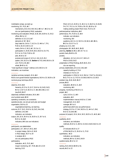mobilisation phase, *see* start-up monitoring, **2**-3, **7-**25, **A-**7 mechanisms, **3-**14, **5-**3, **5-**9, **5-**12, **B-**5 to 7, **B-**13 to 19 *also see* (participatory) M&E, evaluation monitoring and evaluation (M&E), **2**-28, **3-**6, **3-**29 to 31, **5-**12 officer, **E-**6 to 12 definition of, **1-**3, **2**-3, **A-**7 elements of, **5-**7, **8-**12 (key) tasks for, **1-**6 to 7, **1-**12 to 13, **4-**6 to 7, **7-**5, **7-**26 to 28, **C-**5, **E-**5 to 23 matrix, **5-**4 to 5, **5-**13, **A-**7, **C-**3 to 11 participation in, **5-**30, **5-**35, **6-**13, **6-**23 to 24, **7-**5, **7-**11 to 14, **7-**16, **7-**26 to 28 plan, **4-**16 to 19 purpose and scope of, **1-**3 to 4, **1-**6, **1-**15, **5-**3 system, **2**-8, **2**-22 to 26, **Section 4**, **7-**25, **A-**8, **E-**16 to 18 unit, **7-**24 to 26, **A-**8 wheel, **D-**40 to 41 "most significant change" method, **2**-25, **D-**32 to 33 motivation, *see* incentives

```
narrative summary (project), 2-14, A-8
NGOs (non-governmental organisations), 5-24 to 25, 5-28 to 28 
nominal group technique, D-19
```
objective, **3-**14, **A-**8 hierarchy, **2**-13 to 15, **2**-17, **3-**14 to 16, **3-**20, **3-**22, **5-**4 to 5, **5-**7 to 8, **5-**15 to 17, **A-**8, **B-**3, **B-**12, **C-**3 tree **3-**20, **D-**37 objectively verifiable indicators, **3-**14, **A-**8 one hundred *see*ds, **D-**50 operating constraints, *see* constraints operational plan, *see* annual work plan and budget organisation, **5-**24 to 25 organisational learning, *see* learning outcome, **2**-17, **3-**11, **3-**14 to 16, **3-**21, **4-**4, **5-**8, definition, **2**-6, **A-**8 indicators, *see* indicators output, **2**-6, **2**-14, **3-**14 to 16, **3-**20 to 21, **5-**7 to 8, **5-**15 to 16, **A-**8 indicators, **A-**8 (*also see* indicators)

participants, *see* stakeholders participation, **2**-7, **3-**8 to 9, **4-**12, **A-**8 in project design, **3-**6 to 8, **3-**18 in M&E design, **5-**27 to 29 in analysis, **6-**11 *also see* participatory M&E participatory evaluation, **4-**15, **7-**23, **A-**8 impact monitoring, **4-**7, **7-**39, **A-**8, **C-**5, **C-**9 learning, **2**-10

M&E, **1-**5 to 6, **2**-26 to 31, **6-**11 to 13, **6-**23 to 24, **6-**28, **7-**4, **7-**7, **7-**11 to 14, **7-**38 to 39, **C-**5, **E-**18 to 19 making existing project M&E more, **7-**23 to 24 partners/partner institutions, **A-**8 performance, **7-**4, **7-**20 to 22, **A-**9 indicator, *see* indicators monitoring, **5-**9 questions, **4-**11 to 12, **5-**15 to 18, **6-**14, **A-**9, **B-**11, **B-**13 to 19, **C-**7 to 11 phasing out, **1-**11, **4-**6 photographs, **5-**3, **6-**29, **6-**31, **D-**28 planning, **Section 3**, **8-**12, **A-**9, **C-**7 to 11 pocket charts, **D-**49 to 50 poverty alleviation, **1-**3 to 6, **2**-4, **2**-7, **3-**8 to 9 M&E of, **5-**20, **5-**22 presentation of M&E findings, **6-**29, **6-**31, **C-**6 *also see* reporting primary stakeholders, **2**-9, **2**-22, **3-**6, **A-**9 capacity building of, **7-**14 interests of, **7-**23 to 24 participation in M&E of, **1-**12, **5-**6 to 7, **5-**27 to 28, **6-**11, **6-**23, **7-**11 to 12, **7-**23 to 24, **8-**20, **8-**24 to 25, **E-**15 problem tree, **3-**18, **3-**20, **D-**37 process, **B-**10 evaluation, **8-**18 to 21, **A-**9 monitoring, **A-**9 progress, monitoring of **5-**10 to 11 project, **A-**9 cycle, **1-**10 to 11, **A-**9 evaluation, **A-**9 implementation manual, **4-**16 to 17, **A-**9 management, **1-**12, **A-**9 manager, **E-**5 to 6 performance **A-**9 (*also see* performance) strategy, **2**-13 to 17, **3-**4, **3-**20 to 21, **4-**4 to 5, **5-**8, **5-**15 to 16, **A-**9, **B-**1 purpose (of project), **2**-14, **3-**14, **3-**15, **3-**20 to 21, **4-**10, **A-**9 qualitative, **A-**10 indicators, *see* indicators methods, **5-**10 to 11, **6-**9 to 10, **6-**13, **6-**20, **6-**22 to 24 quality of indicators **5-**25 to 27 of M&E **4-**20 to 21, **5-**10 to 11, **7-**10 quantitative, **A-**10 indicators, *see* indicators methods, **6-**9 to 10, **6-**13, **6-**24 questionnaires, **D-**12 to 13

ranking, **5-**23, **D-**19, **D-**49 to 50, records, **6-**21 to 22